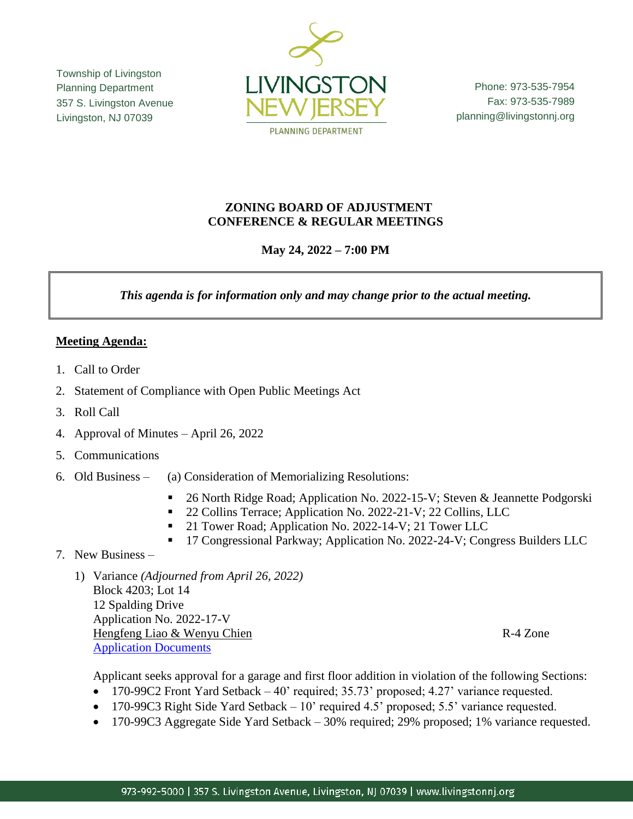Township of Livingston Planning Department 357 S. Livingston Avenue Livingston, NJ 07039



Phone: 973-535-7954 Fax: 973-535-7989 planning@livingstonnj.org

## **ZONING BOARD OF ADJUSTMENT CONFERENCE & REGULAR MEETINGS**

# **May 24, 2022 – 7:00 PM**

*This agenda is for information only and may change prior to the actual meeting.*

### **Meeting Agenda:**

- 1. Call to Order
- 2. Statement of Compliance with Open Public Meetings Act
- 3. Roll Call
- 4. Approval of Minutes April 26, 2022
- 5. Communications
- 6. Old Business (a) Consideration of Memorializing Resolutions:
	- 26 North Ridge Road; Application No. 2022-15-V; Steven & Jeannette Podgorski
	- <sup>22</sup> Collins Terrace; Application No. 2022-21-V; 22 Collins, LLC
	- 21 Tower Road; Application No. 2022-14-V; 21 Tower LLC
	- <sup>17</sup> Congressional Parkway; Application No. 2022-24-V; Congress Builders LLC
- 7. New Business
	- 1) Variance *(Adjourned from April 26, 2022)* Block 4203; Lot 14 12 Spalding Drive Application No. 2022-17-V Hengfeng Liao & Wenyu Chien R-4 Zone [Application Documents](http://livingstonnj.org/DocumentCenter/View/13726/12-Spalding-Drive---Application-Docs)

Applicant seeks approval for a garage and first floor addition in violation of the following Sections:

- 170-99C2 Front Yard Setback 40' required; 35.73' proposed; 4.27' variance requested.
- 170-99C3 Right Side Yard Setback 10' required 4.5' proposed; 5.5' variance requested.
- 170-99C3 Aggregate Side Yard Setback 30% required; 29% proposed; 1% variance requested.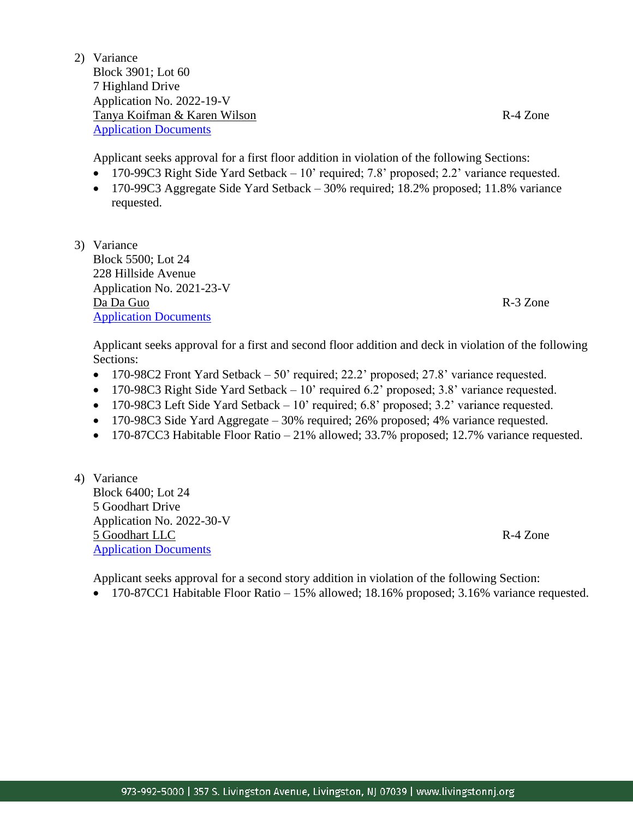2) Variance Block 3901; Lot 60 7 Highland Drive Application No. 2022-19-V Tanya Koifman & Karen Wilson R-4 Zone [Application Documents](https://www.livingstonnj.org/DocumentCenter/View/13874/7-Highland-Drive---Application-Docs)

Applicant seeks approval for a first floor addition in violation of the following Sections:

- 170-99C3 Right Side Yard Setback 10' required; 7.8' proposed; 2.2' variance requested.
- 170-99C3 Aggregate Side Yard Setback 30% required; 18.2% proposed; 11.8% variance requested.
- 3) Variance Block 5500; Lot 24 228 Hillside Avenue Application No. 2021-23-V Da Da Guo R-3 Zone [Application Documents](https://www.livingstonnj.org/DocumentCenter/View/13879/228-Hillside-Ave---Application-Docs)

Applicant seeks approval for a first and second floor addition and deck in violation of the following Sections:

- 170-98C2 Front Yard Setback 50' required; 22.2' proposed; 27.8' variance requested.
- $\bullet$  170-98C3 Right Side Yard Setback 10' required 6.2' proposed; 3.8' variance requested.
- 170-98C3 Left Side Yard Setback 10' required; 6.8' proposed; 3.2' variance requested.
- 170-98C3 Side Yard Aggregate 30% required; 26% proposed; 4% variance requested.
- 170-87CC3 Habitable Floor Ratio 21% allowed; 33.7% proposed; 12.7% variance requested.
- 4) Variance Block 6400; Lot 24 5 Goodhart Drive Application No. 2022-30-V 5 Goodhart LLC R-4 Zone [Application Documents](https://www.livingstonnj.org/DocumentCenter/View/13881/5-Goodhart-Drive---Application-Docs)

Applicant seeks approval for a second story addition in violation of the following Section:

170-87CC1 Habitable Floor Ratio – 15% allowed; 18.16% proposed; 3.16% variance requested.